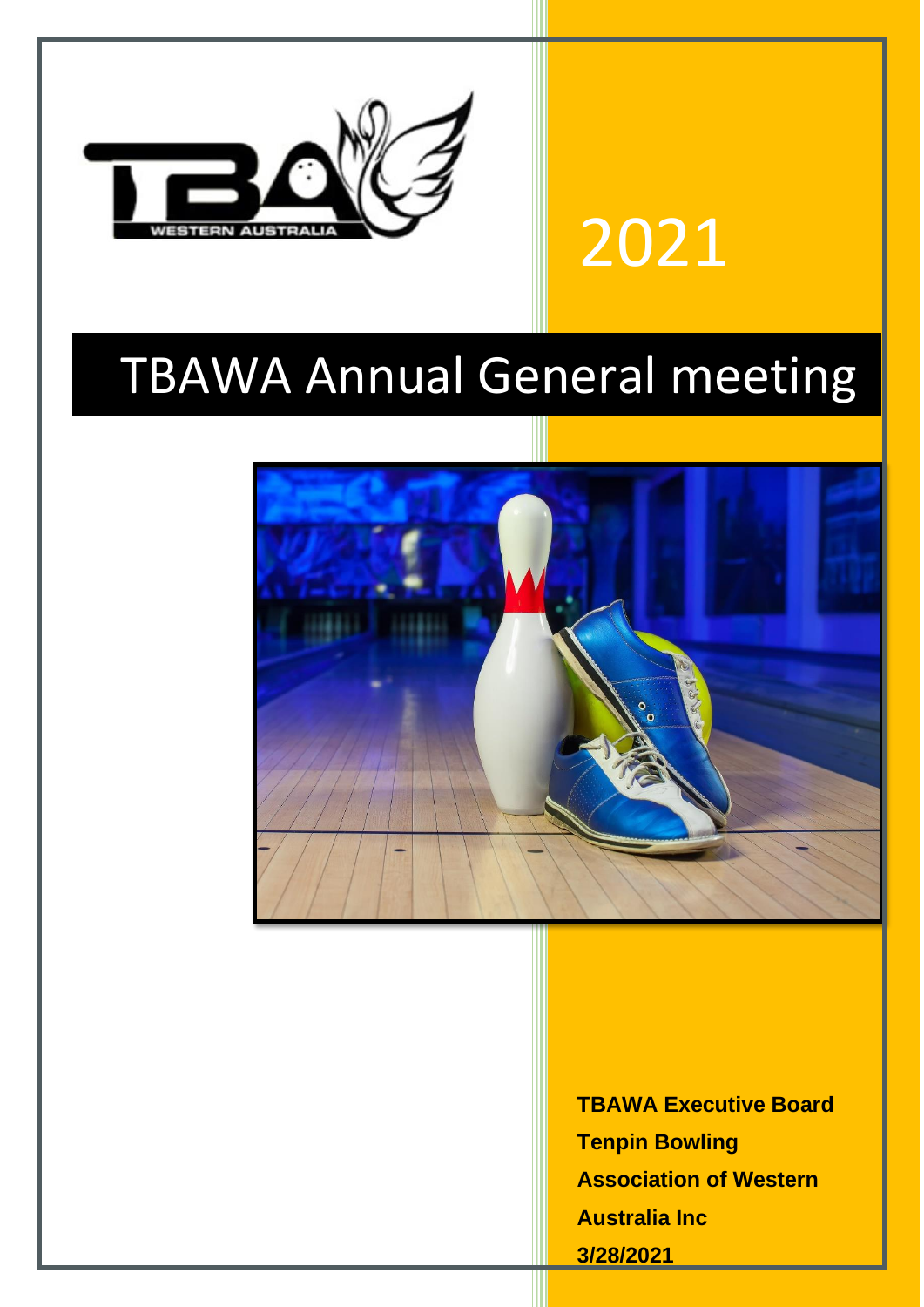

# 2021

## TBAWA Annual General meeting



**TBAWA Executive Board Tenpin Bowling Association of Western Australia Inc 3/28/2021**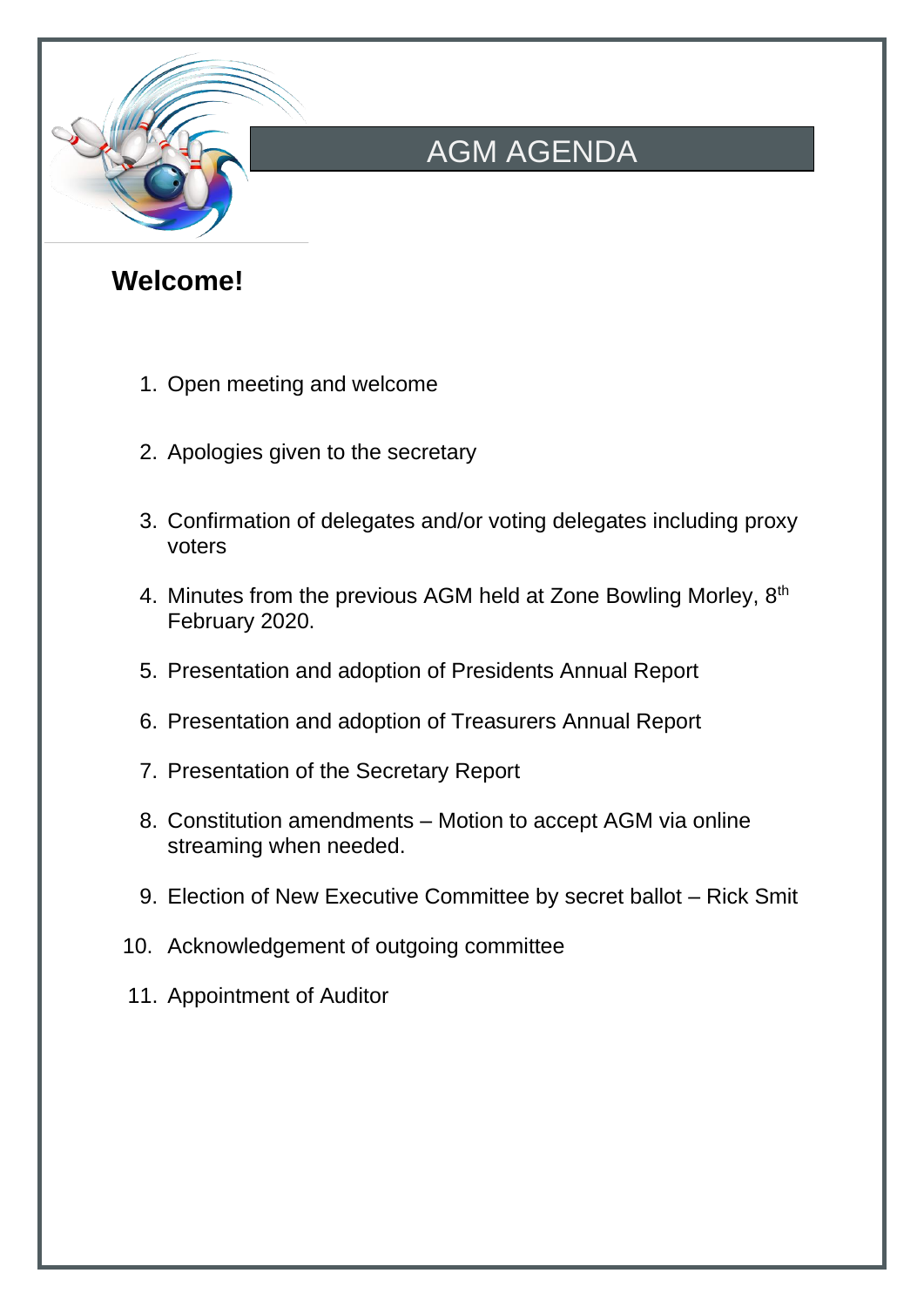

## AGM AGENDA

### **Welcome!**

- 1. Open meeting and welcome
- 2. Apologies given to the secretary
- 3. Confirmation of delegates and/or voting delegates including proxy voters
- 4. Minutes from the previous AGM held at Zone Bowling Morley, 8<sup>th</sup> February 2020.
- 5. Presentation and adoption of Presidents Annual Report
- 6. Presentation and adoption of Treasurers Annual Report
- 7. Presentation of the Secretary Report
- 8. Constitution amendments Motion to accept AGM via online streaming when needed.
- 9. Election of New Executive Committee by secret ballot Rick Smit
- 10. Acknowledgement of outgoing committee
- 11. Appointment of Auditor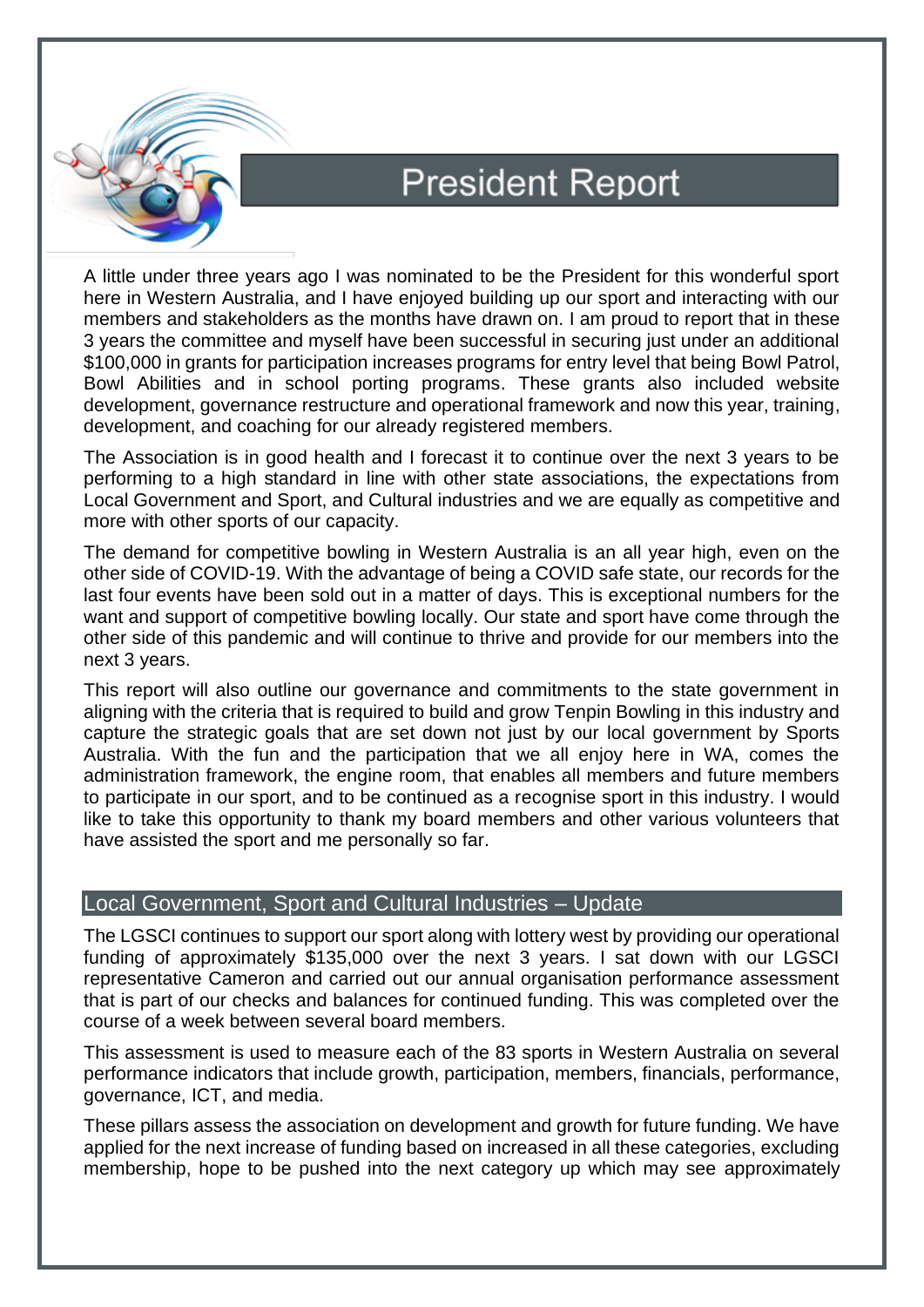

## **President Report**

A little under three years ago I was nominated to be the President for this wonderful sport here in Western Australia, and I have enjoyed building up our sport and interacting with our members and stakeholders as the months have drawn on. I am proud to report that in these 3 years the committee and myself have been successful in securing just under an additional \$100,000 in grants for participation increases programs for entry level that being Bowl Patrol, Bowl Abilities and in school porting programs. These grants also included website development, governance restructure and operational framework and now this year, training, development, and coaching for our already registered members.

The Association is in good health and I forecast it to continue over the next 3 years to be performing to a high standard in line with other state associations, the expectations from Local Government and Sport, and Cultural industries and we are equally as competitive and more with other sports of our capacity.

The demand for competitive bowling in Western Australia is an all year high, even on the other side of COVID-19. With the advantage of being a COVID safe state, our records for the last four events have been sold out in a matter of days. This is exceptional numbers for the want and support of competitive bowling locally. Our state and sport have come through the other side of this pandemic and will continue to thrive and provide for our members into the next 3 years.

This report will also outline our governance and commitments to the state government in aligning with the criteria that is required to build and grow Tenpin Bowling in this industry and capture the strategic goals that are set down not just by our local government by Sports Australia. With the fun and the participation that we all enjoy here in WA, comes the administration framework, the engine room, that enables all members and future members to participate in our sport, and to be continued as a recognise sport in this industry. I would like to take this opportunity to thank my board members and other various volunteers that have assisted the sport and me personally so far.

#### Local Government, Sport and Cultural Industries – Update

The LGSCI continues to support our sport along with lottery west by providing our operational funding of approximately \$135,000 over the next 3 years. I sat down with our LGSCI representative Cameron and carried out our annual organisation performance assessment that is part of our checks and balances for continued funding. This was completed over the course of a week between several board members.

This assessment is used to measure each of the 83 sports in Western Australia on several performance indicators that include growth, participation, members, financials, performance, governance, ICT, and media.

These pillars assess the association on development and growth for future funding. We have applied for the next increase of funding based on increased in all these categories, excluding membership, hope to be pushed into the next category up which may see approximately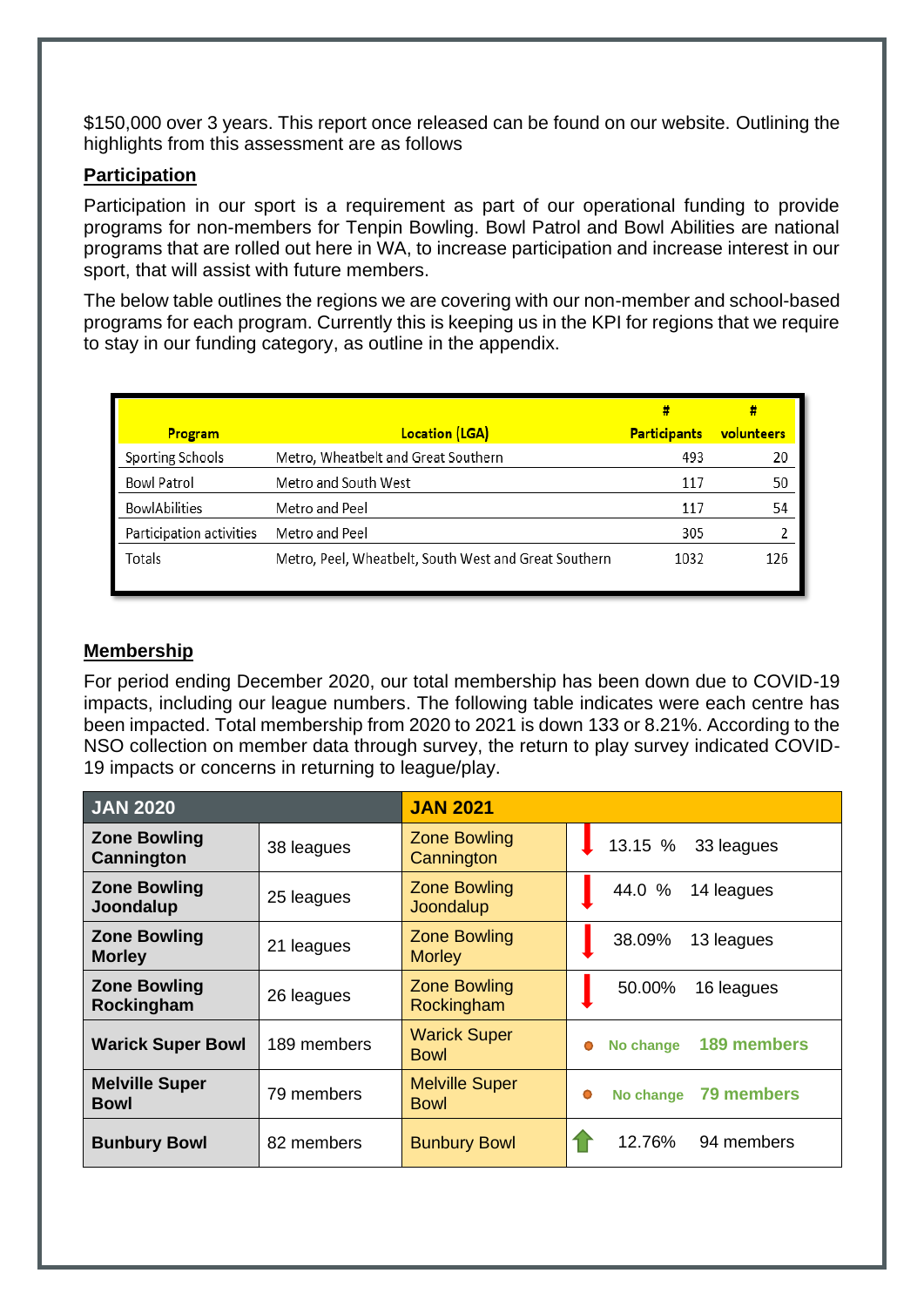\$150,000 over 3 years. This report once released can be found on our website. Outlining the highlights from this assessment are as follows

#### **Participation**

Participation in our sport is a requirement as part of our operational funding to provide programs for non-members for Tenpin Bowling. Bowl Patrol and Bowl Abilities are national programs that are rolled out here in WA, to increase participation and increase interest in our sport, that will assist with future members.

The below table outlines the regions we are covering with our non-member and school-based programs for each program. Currently this is keeping us in the KPI for regions that we require to stay in our funding category, as outline in the appendix.

| <b>Program</b>           | <b>Location (LGA)</b>                                 | <b>Participants</b> | volunteers |
|--------------------------|-------------------------------------------------------|---------------------|------------|
| Sporting Schools         | Metro, Wheatbelt and Great Southern                   | 493                 | 20         |
| <b>Bowl Patrol</b>       | Metro and South West                                  | 117                 | 50         |
| <b>BowlAbilities</b>     | Metro and Peel                                        | 117                 | 54         |
| Participation activities | Metro and Peel                                        | 305                 |            |
| Totals                   | Metro, Peel, Wheatbelt, South West and Great Southern | 1032                | 126        |

#### **Membership**

For period ending December 2020, our total membership has been down due to COVID-19 impacts, including our league numbers. The following table indicates were each centre has been impacted. Total membership from 2020 to 2021 is down 133 or 8.21%. According to the NSO collection on member data through survey, the return to play survey indicated COVID-19 impacts or concerns in returning to league/play.

| <b>JAN 2020</b>                   |             | <b>JAN 2021</b>                    |                            |
|-----------------------------------|-------------|------------------------------------|----------------------------|
| <b>Zone Bowling</b><br>Cannington | 38 leagues  | <b>Zone Bowling</b><br>Cannington  | 13.15 % 33 leagues         |
| <b>Zone Bowling</b>               | 25 leagues  | <b>Zone Bowling</b>                | 44.0 %                     |
| Joondalup                         |             | Joondalup                          | 14 leagues                 |
| <b>Zone Bowling</b>               | 21 leagues  | <b>Zone Bowling</b>                | 38.09%                     |
| <b>Morley</b>                     |             | <b>Morley</b>                      | 13 leagues                 |
| <b>Zone Bowling</b>               | 26 leagues  | <b>Zone Bowling</b>                | 50.00%                     |
| Rockingham                        |             | Rockingham                         | 16 leagues                 |
| <b>Warick Super Bowl</b>          | 189 members | <b>Warick Super</b><br><b>Bowl</b> | No change 189 members<br>Ο |
| <b>Melville Super</b>             | 79 members  | <b>Melville Super</b>              | No change 79 members       |
| <b>Bowl</b>                       |             | <b>Bowl</b>                        | Ο                          |
| <b>Bunbury Bowl</b>               | 82 members  | <b>Bunbury Bowl</b>                | 12.76%<br>94 members       |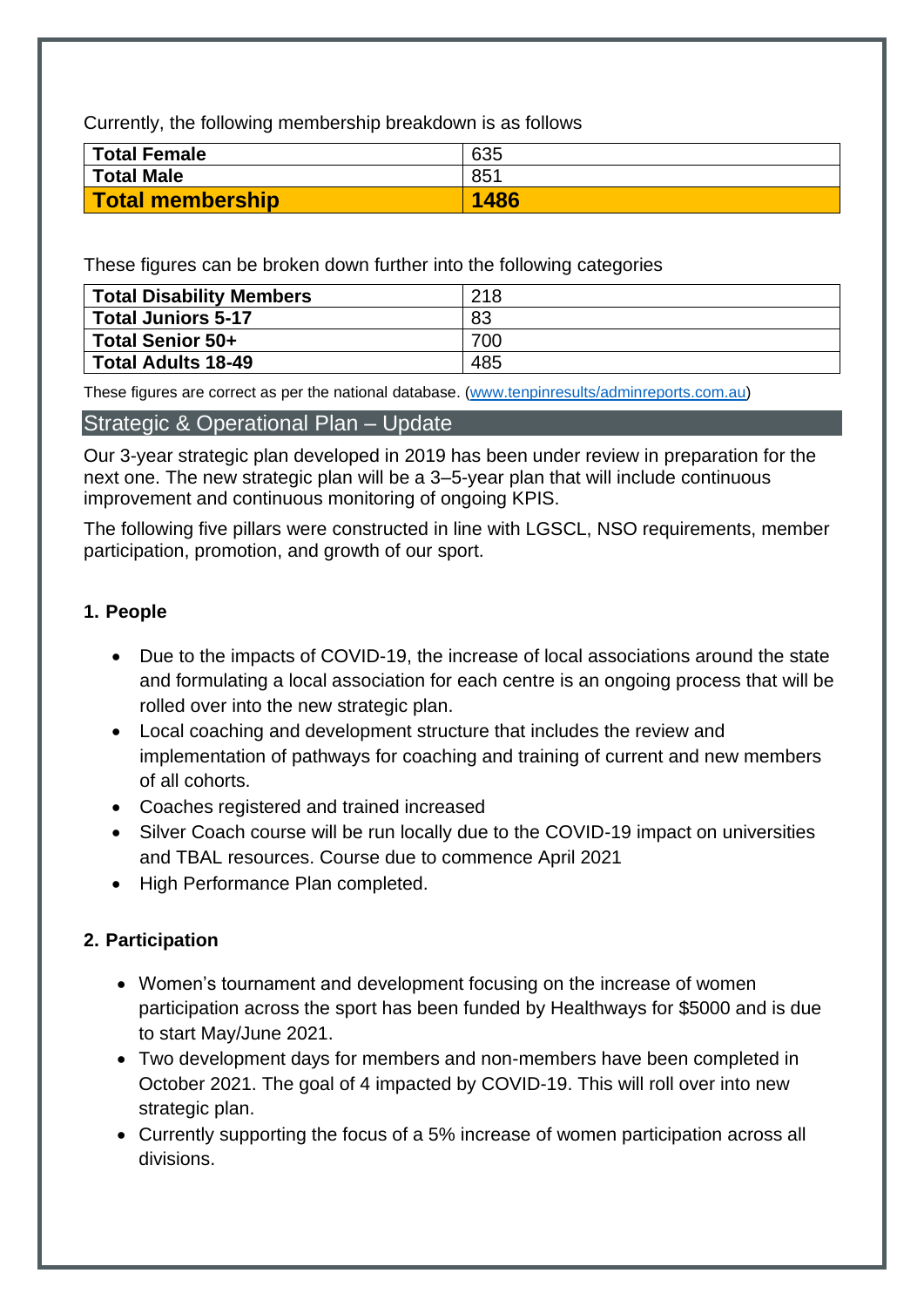Currently, the following membership breakdown is as follows

| Total Female      | 635  |
|-------------------|------|
| <b>Total Male</b> | 851  |
| Total membership  | 1486 |

These figures can be broken down further into the following categories

| Total Disability Members  | 218 |
|---------------------------|-----|
| <b>Total Juniors 5-17</b> | 83  |
| Total Senior 50+          | 700 |
| Total Adults 18-49        | 485 |

These figures are correct as per the national database. [\(www.tenpinresults/adminreports.com.au\)](http://www.tenpinresults/adminreports.com.au)

#### Strategic & Operational Plan – Update

Our 3-year strategic plan developed in 2019 has been under review in preparation for the next one. The new strategic plan will be a 3–5-year plan that will include continuous improvement and continuous monitoring of ongoing KPIS.

The following five pillars were constructed in line with LGSCL, NSO requirements, member participation, promotion, and growth of our sport.

#### **1. People**

- Due to the impacts of COVID-19, the increase of local associations around the state and formulating a local association for each centre is an ongoing process that will be rolled over into the new strategic plan.
- Local coaching and development structure that includes the review and implementation of pathways for coaching and training of current and new members of all cohorts.
- Coaches registered and trained increased
- Silver Coach course will be run locally due to the COVID-19 impact on universities and TBAL resources. Course due to commence April 2021
- High Performance Plan completed.

#### **2. Participation**

- Women's tournament and development focusing on the increase of women participation across the sport has been funded by Healthways for \$5000 and is due to start May/June 2021.
- Two development days for members and non-members have been completed in October 2021. The goal of 4 impacted by COVID-19. This will roll over into new strategic plan.
- Currently supporting the focus of a 5% increase of women participation across all divisions.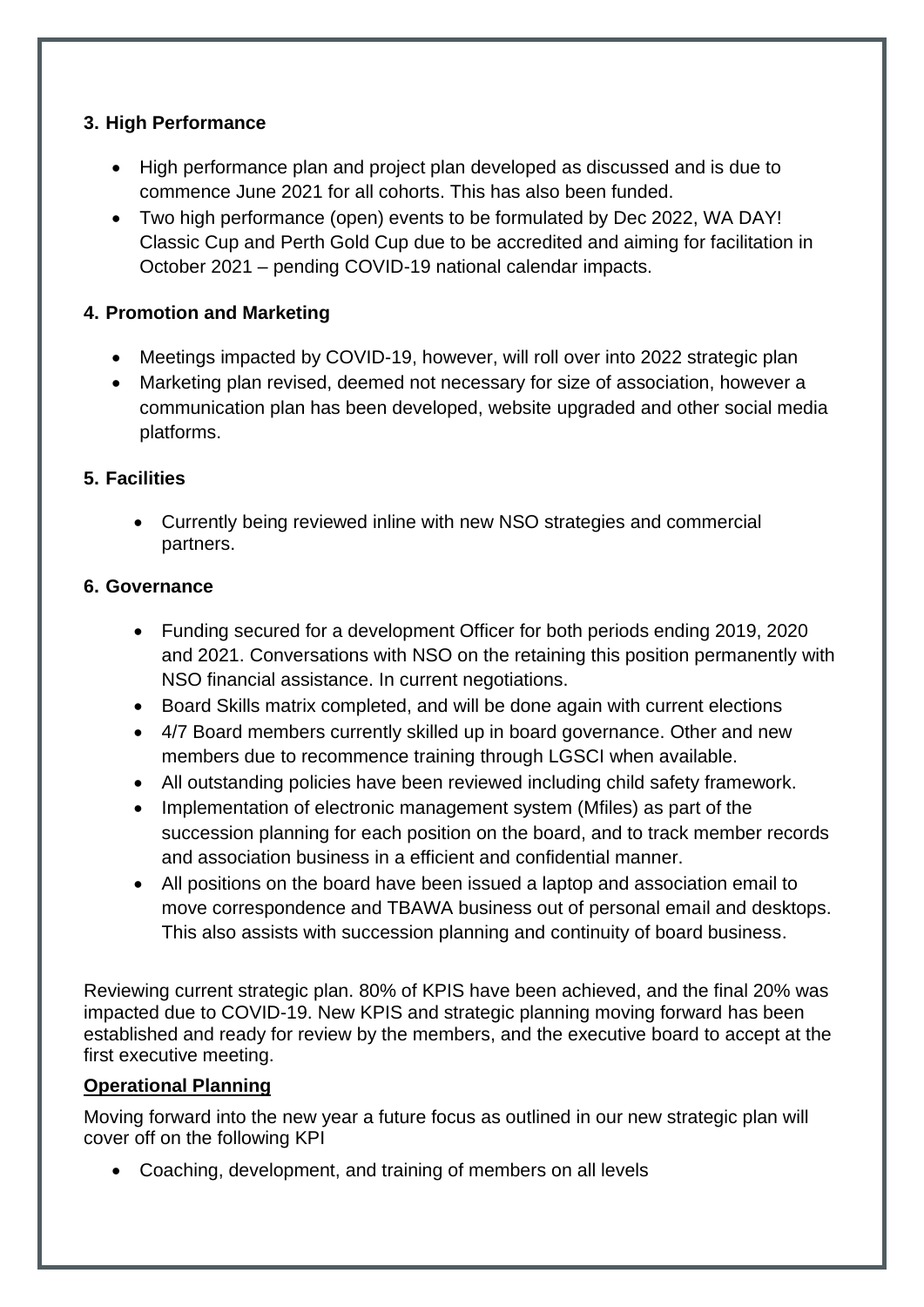#### **3. High Performance**

- High performance plan and project plan developed as discussed and is due to commence June 2021 for all cohorts. This has also been funded.
- Two high performance (open) events to be formulated by Dec 2022, WA DAY! Classic Cup and Perth Gold Cup due to be accredited and aiming for facilitation in October 2021 – pending COVID-19 national calendar impacts.

#### **4. Promotion and Marketing**

- Meetings impacted by COVID-19, however, will roll over into 2022 strategic plan
- Marketing plan revised, deemed not necessary for size of association, however a communication plan has been developed, website upgraded and other social media platforms.

#### **5. Facilities**

• Currently being reviewed inline with new NSO strategies and commercial partners.

#### **6. Governance**

- Funding secured for a development Officer for both periods ending 2019, 2020 and 2021. Conversations with NSO on the retaining this position permanently with NSO financial assistance. In current negotiations.
- Board Skills matrix completed, and will be done again with current elections
- 4/7 Board members currently skilled up in board governance. Other and new members due to recommence training through LGSCI when available.
- All outstanding policies have been reviewed including child safety framework.
- Implementation of electronic management system (Mfiles) as part of the succession planning for each position on the board, and to track member records and association business in a efficient and confidential manner.
- All positions on the board have been issued a laptop and association email to move correspondence and TBAWA business out of personal email and desktops. This also assists with succession planning and continuity of board business.

Reviewing current strategic plan. 80% of KPIS have been achieved, and the final 20% was impacted due to COVID-19. New KPIS and strategic planning moving forward has been established and ready for review by the members, and the executive board to accept at the first executive meeting.

#### **Operational Planning**

Moving forward into the new year a future focus as outlined in our new strategic plan will cover off on the following KPI

• Coaching, development, and training of members on all levels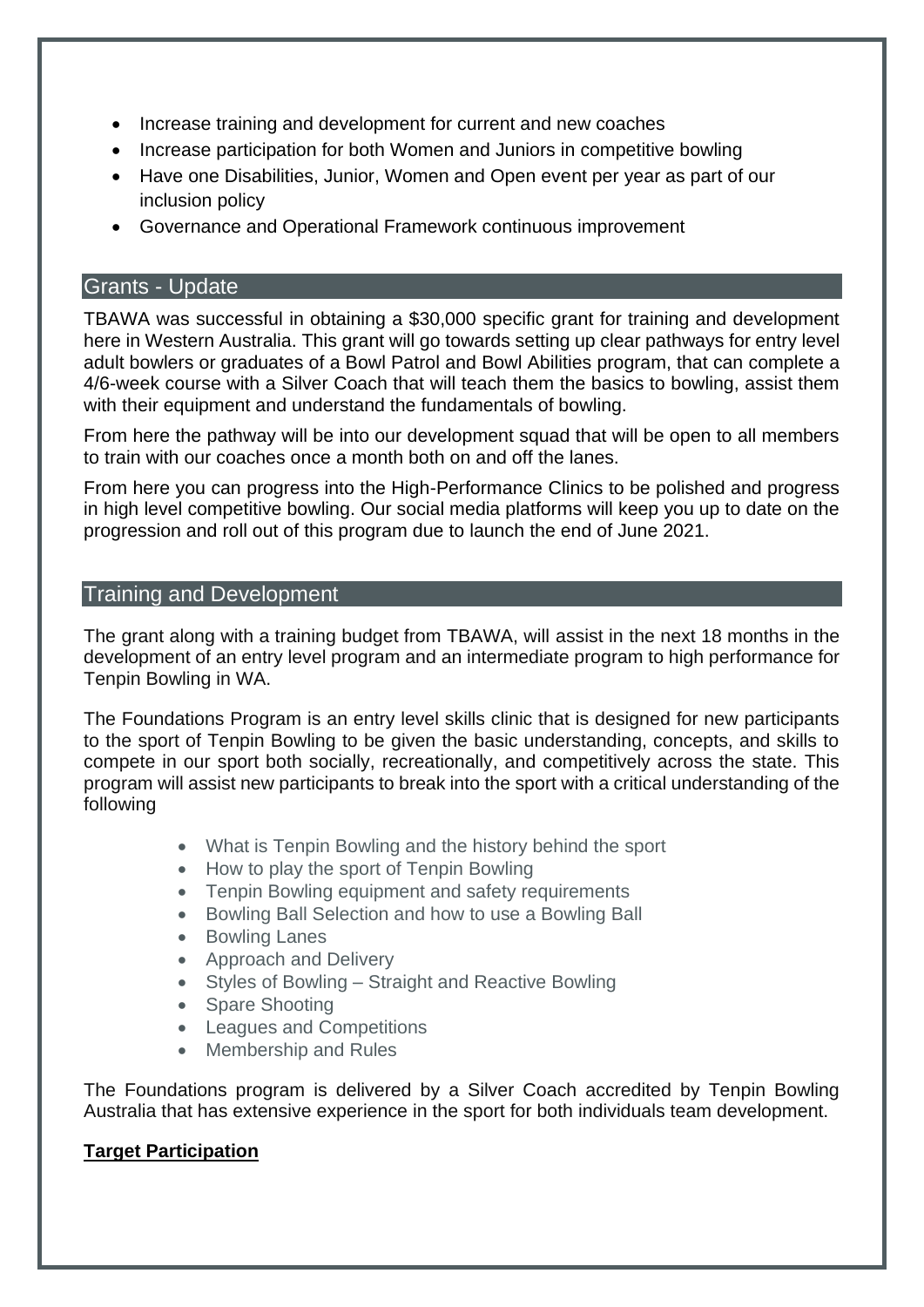- Increase training and development for current and new coaches
- Increase participation for both Women and Juniors in competitive bowling
- Have one Disabilities, Junior, Women and Open event per year as part of our inclusion policy
- Governance and Operational Framework continuous improvement

#### Grants - Update

TBAWA was successful in obtaining a \$30,000 specific grant for training and development here in Western Australia. This grant will go towards setting up clear pathways for entry level adult bowlers or graduates of a Bowl Patrol and Bowl Abilities program, that can complete a 4/6-week course with a Silver Coach that will teach them the basics to bowling, assist them with their equipment and understand the fundamentals of bowling.

From here the pathway will be into our development squad that will be open to all members to train with our coaches once a month both on and off the lanes.

From here you can progress into the High-Performance Clinics to be polished and progress in high level competitive bowling. Our social media platforms will keep you up to date on the progression and roll out of this program due to launch the end of June 2021.

#### Training and Development

The grant along with a training budget from TBAWA, will assist in the next 18 months in the development of an entry level program and an intermediate program to high performance for Tenpin Bowling in WA.

The Foundations Program is an entry level skills clinic that is designed for new participants to the sport of Tenpin Bowling to be given the basic understanding, concepts, and skills to compete in our sport both socially, recreationally, and competitively across the state. This program will assist new participants to break into the sport with a critical understanding of the following

- What is Tenpin Bowling and the history behind the sport
- How to play the sport of Tenpin Bowling
- Tenpin Bowling equipment and safety requirements
- Bowling Ball Selection and how to use a Bowling Ball
- Bowling Lanes
- Approach and Delivery
- Styles of Bowling Straight and Reactive Bowling
- Spare Shooting
- Leagues and Competitions
- Membership and Rules

The Foundations program is delivered by a Silver Coach accredited by Tenpin Bowling Australia that has extensive experience in the sport for both individuals team development.

#### **Target Participation**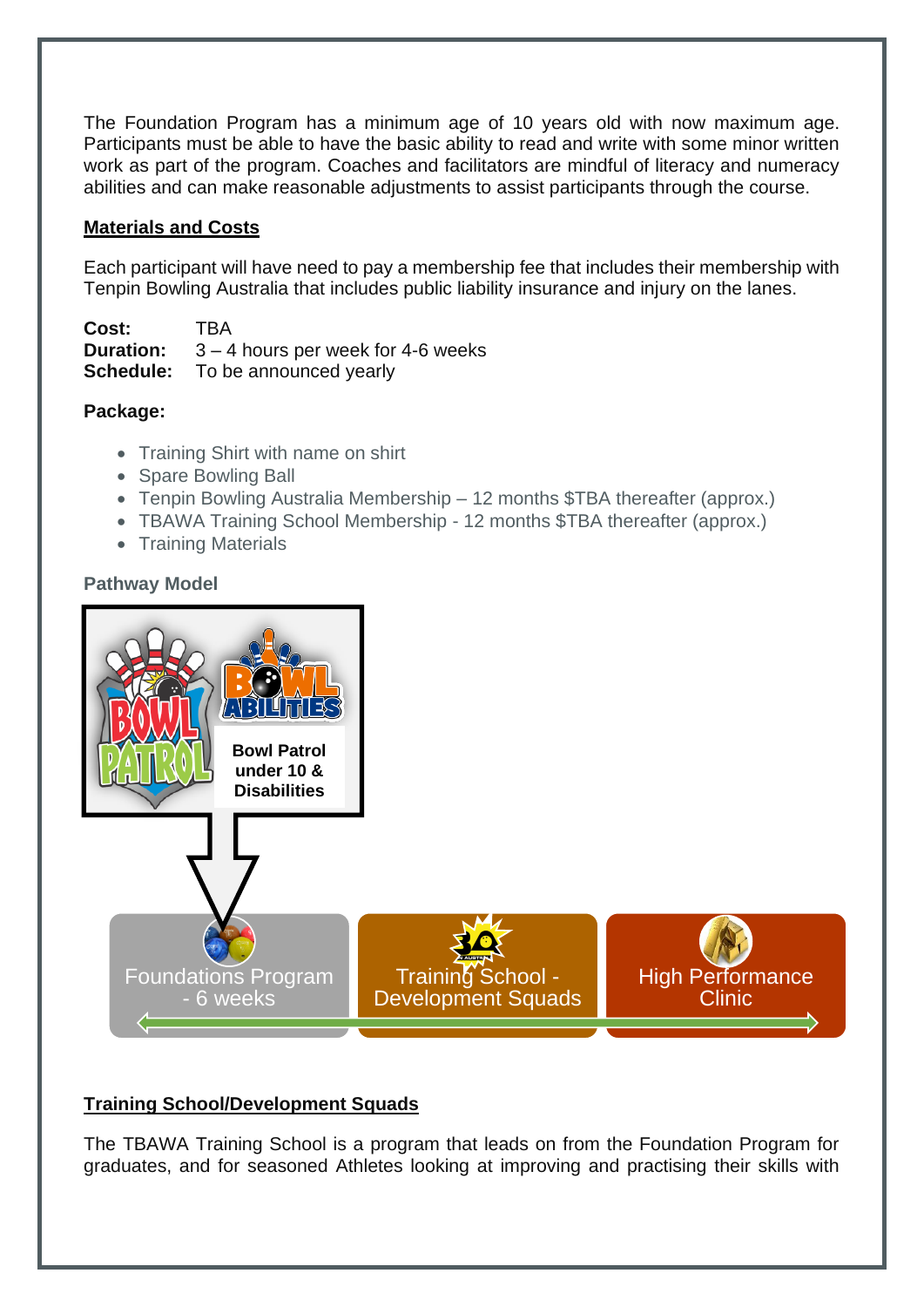The Foundation Program has a minimum age of 10 years old with now maximum age. Participants must be able to have the basic ability to read and write with some minor written work as part of the program. Coaches and facilitators are mindful of literacy and numeracy abilities and can make reasonable adjustments to assist participants through the course.

#### **Materials and Costs**

Each participant will have need to pay a membership fee that includes their membership with Tenpin Bowling Australia that includes public liability insurance and injury on the lanes.

**Cost:** TBA<br>**Duration:** 3-4 3 – 4 hours per week for 4-6 weeks **Schedule:** To be announced yearly

#### **Package:**

- Training Shirt with name on shirt
- Spare Bowling Ball
- Tenpin Bowling Australia Membership 12 months \$TBA thereafter (approx.)
- TBAWA Training School Membership 12 months \$TBA thereafter (approx.)
- Training Materials

#### **Pathway Model**



#### **Training School/Development Squads**

The TBAWA Training School is a program that leads on from the Foundation Program for graduates, and for seasoned Athletes looking at improving and practising their skills with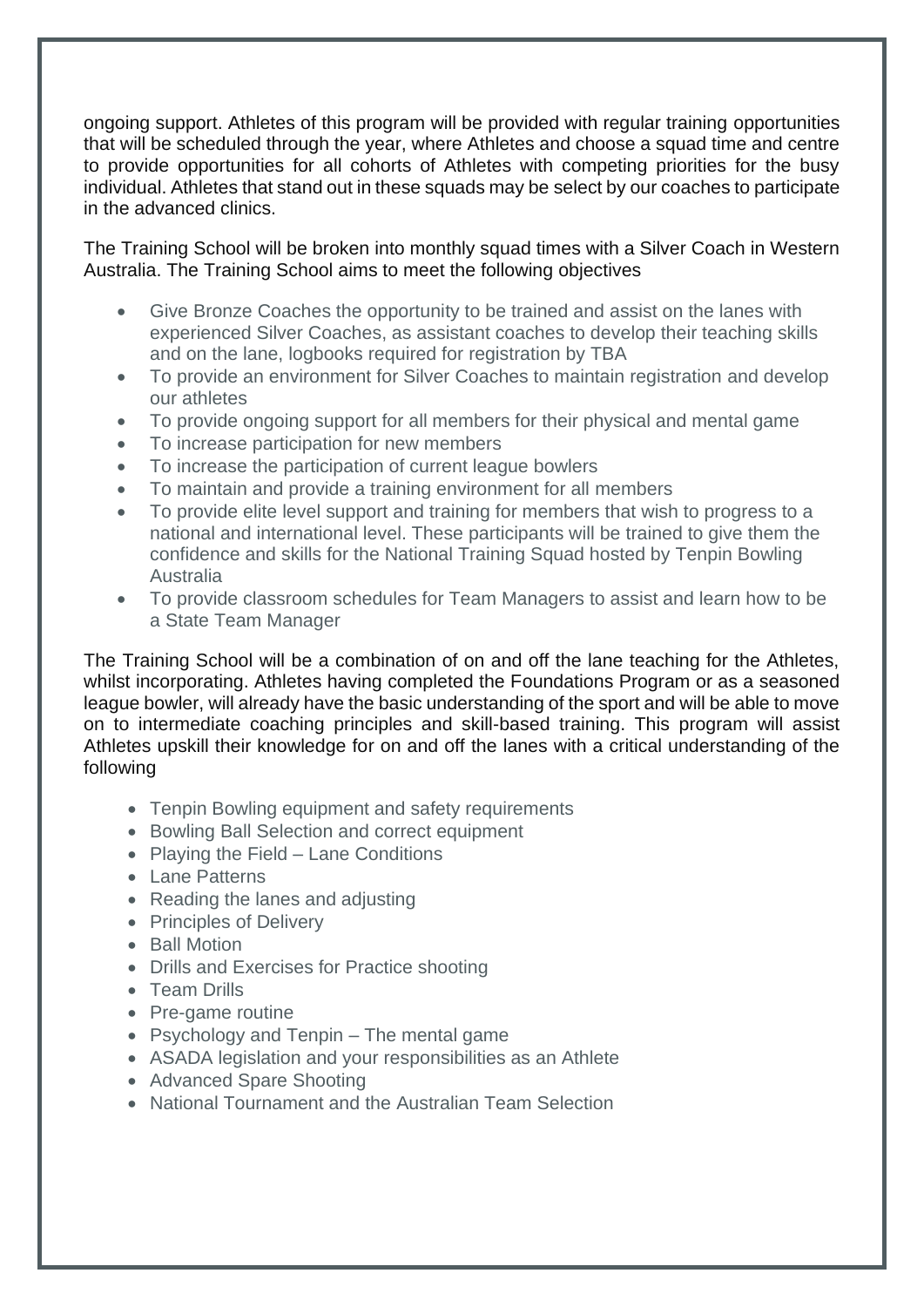ongoing support. Athletes of this program will be provided with regular training opportunities that will be scheduled through the year, where Athletes and choose a squad time and centre to provide opportunities for all cohorts of Athletes with competing priorities for the busy individual. Athletes that stand out in these squads may be select by our coaches to participate in the advanced clinics.

The Training School will be broken into monthly squad times with a Silver Coach in Western Australia. The Training School aims to meet the following objectives

- Give Bronze Coaches the opportunity to be trained and assist on the lanes with experienced Silver Coaches, as assistant coaches to develop their teaching skills and on the lane, logbooks required for registration by TBA
- To provide an environment for Silver Coaches to maintain registration and develop our athletes
- To provide ongoing support for all members for their physical and mental game
- To increase participation for new members
- To increase the participation of current league bowlers
- To maintain and provide a training environment for all members
- To provide elite level support and training for members that wish to progress to a national and international level. These participants will be trained to give them the confidence and skills for the National Training Squad hosted by Tenpin Bowling Australia
- To provide classroom schedules for Team Managers to assist and learn how to be a State Team Manager

The Training School will be a combination of on and off the lane teaching for the Athletes, whilst incorporating. Athletes having completed the Foundations Program or as a seasoned league bowler, will already have the basic understanding of the sport and will be able to move on to intermediate coaching principles and skill-based training. This program will assist Athletes upskill their knowledge for on and off the lanes with a critical understanding of the following

- Tenpin Bowling equipment and safety requirements
- Bowling Ball Selection and correct equipment
- Playing the Field Lane Conditions
- Lane Patterns
- Reading the lanes and adjusting
- Principles of Delivery
- Ball Motion
- Drills and Exercises for Practice shooting
- Team Drills
- Pre-game routine
- Psychology and Tenpin The mental game
- ASADA legislation and your responsibilities as an Athlete
- Advanced Spare Shooting
- National Tournament and the Australian Team Selection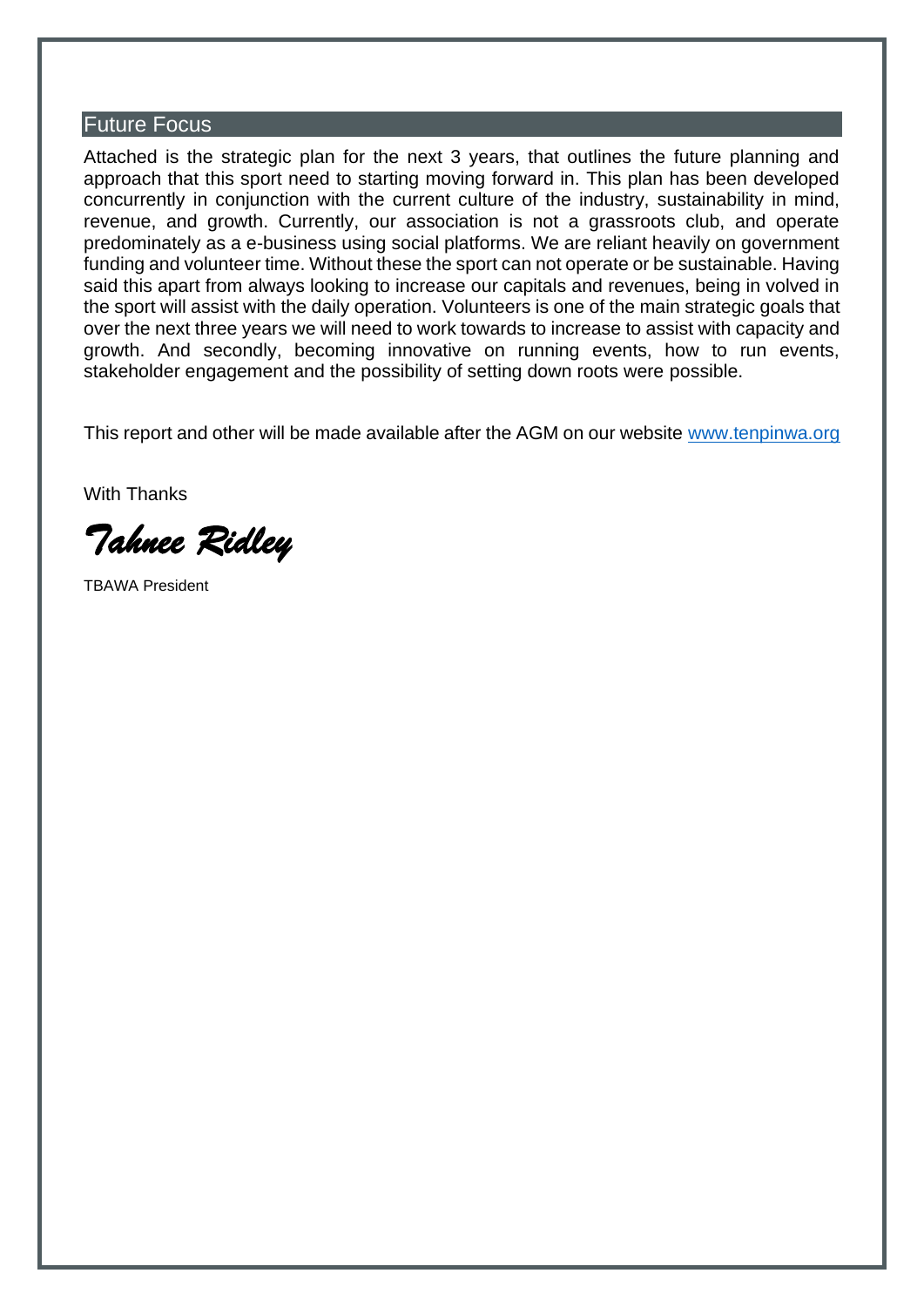#### Future Focus

Attached is the strategic plan for the next 3 years, that outlines the future planning and approach that this sport need to starting moving forward in. This plan has been developed concurrently in conjunction with the current culture of the industry, sustainability in mind, revenue, and growth. Currently, our association is not a grassroots club, and operate predominately as a e-business using social platforms. We are reliant heavily on government funding and volunteer time. Without these the sport can not operate or be sustainable. Having said this apart from always looking to increase our capitals and revenues, being in volved in the sport will assist with the daily operation. Volunteers is one of the main strategic goals that over the next three years we will need to work towards to increase to assist with capacity and growth. And secondly, becoming innovative on running events, how to run events, stakeholder engagement and the possibility of setting down roots were possible.

This report and other will be made available after the AGM on our website [www.tenpinwa.org](http://www.tenpinwa.org/)

With Thanks

*Tahnee Ridley* 

TBAWA President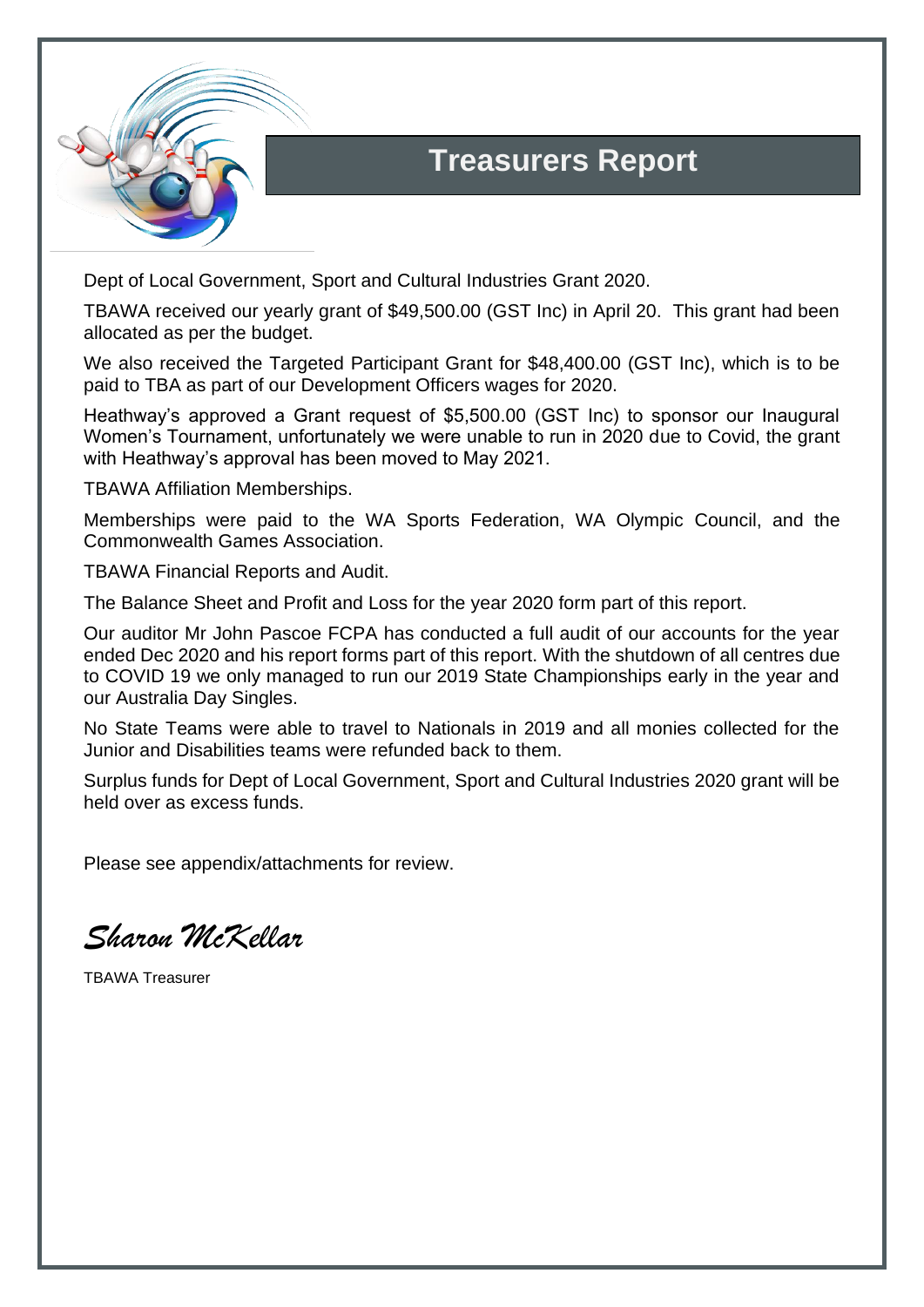

## **Treasurers Report**

Dept of Local Government, Sport and Cultural Industries Grant 2020.

TBAWA received our yearly grant of \$49,500.00 (GST Inc) in April 20. This grant had been allocated as per the budget.

We also received the Targeted Participant Grant for \$48,400.00 (GST Inc), which is to be paid to TBA as part of our Development Officers wages for 2020.

Heathway's approved a Grant request of \$5,500.00 (GST Inc) to sponsor our Inaugural Women's Tournament, unfortunately we were unable to run in 2020 due to Covid, the grant with Heathway's approval has been moved to May 2021.

TBAWA Affiliation Memberships.

Memberships were paid to the WA Sports Federation, WA Olympic Council, and the Commonwealth Games Association.

TBAWA Financial Reports and Audit.

The Balance Sheet and Profit and Loss for the year 2020 form part of this report.

Our auditor Mr John Pascoe FCPA has conducted a full audit of our accounts for the year ended Dec 2020 and his report forms part of this report. With the shutdown of all centres due to COVID 19 we only managed to run our 2019 State Championships early in the year and our Australia Day Singles.

No State Teams were able to travel to Nationals in 2019 and all monies collected for the Junior and Disabilities teams were refunded back to them.

Surplus funds for Dept of Local Government, Sport and Cultural Industries 2020 grant will be held over as excess funds.

Please see appendix/attachments for review.

*Sharon McKellar*

TBAWA Treasurer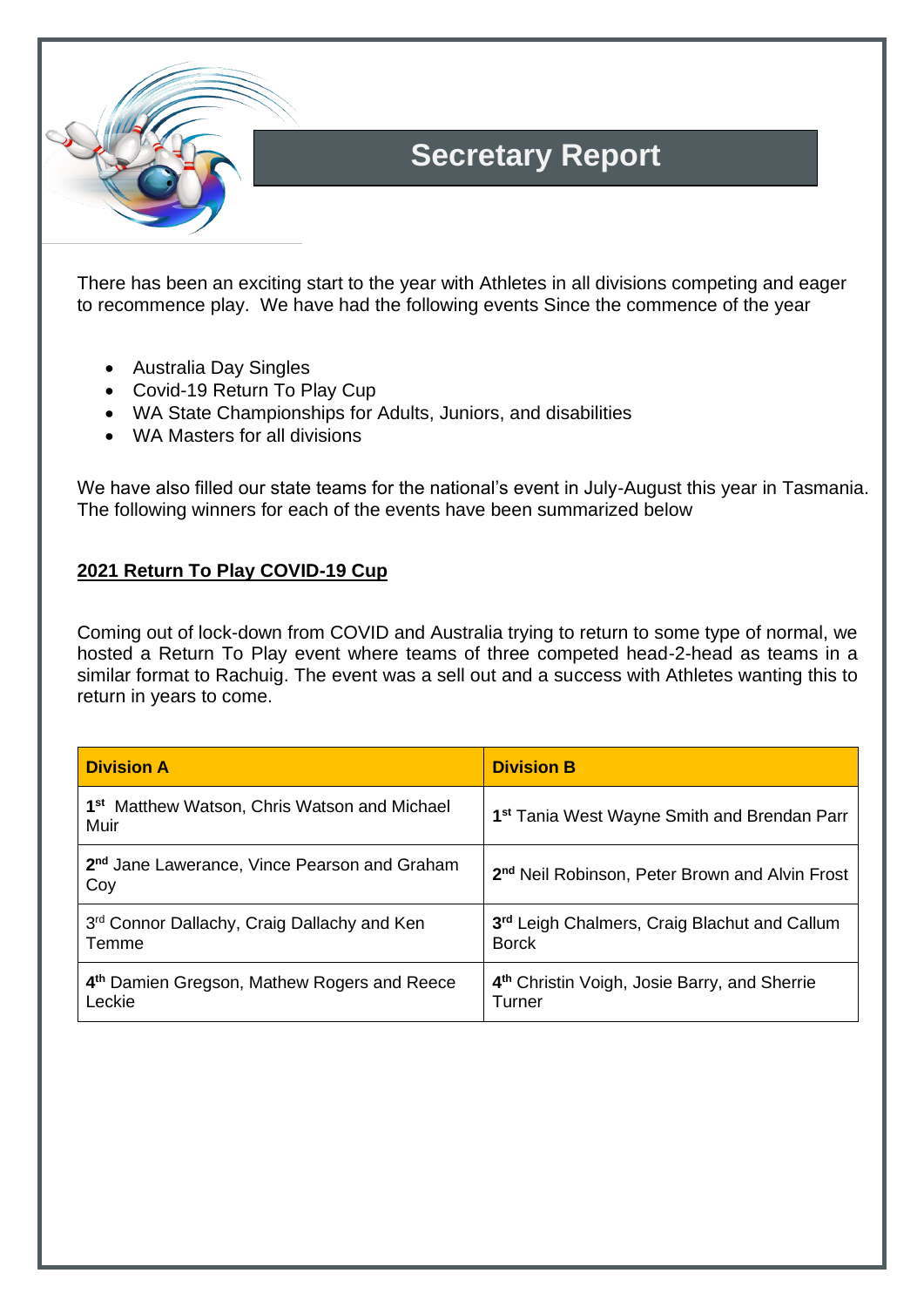

## **Secretary Report**

There has been an exciting start to the year with Athletes in all divisions competing and eager to recommence play. We have had the following events Since the commence of the year

- Australia Day Singles
- Covid-19 Return To Play Cup
- WA State Championships for Adults, Juniors, and disabilities
- WA Masters for all divisions

We have also filled our state teams for the national's event in July-August this year in Tasmania. The following winners for each of the events have been summarized below

#### **2021 Return To Play COVID-19 Cup**

Coming out of lock-down from COVID and Australia trying to return to some type of normal, we hosted a Return To Play event where teams of three competed head-2-head as teams in a similar format to Rachuig. The event was a sell out and a success with Athletes wanting this to return in years to come.

| <b>Division A</b>                                                 | <b>Division B</b>                                                  |
|-------------------------------------------------------------------|--------------------------------------------------------------------|
| 1 <sup>st</sup> Matthew Watson, Chris Watson and Michael<br>Muir  | 1 <sup>st</sup> Tania West Wayne Smith and Brendan Parr            |
| 2 <sup>nd</sup> Jane Lawerance, Vince Pearson and Graham<br>Coy   | 2 <sup>nd</sup> Neil Robinson, Peter Brown and Alvin Frost         |
| 3rd Connor Dallachy, Craig Dallachy and Ken<br>Temme              | 3rd Leigh Chalmers, Craig Blachut and Callum<br><b>Borck</b>       |
| 4 <sup>th</sup> Damien Gregson, Mathew Rogers and Reece<br>Leckie | 4 <sup>th</sup> Christin Voigh, Josie Barry, and Sherrie<br>Turner |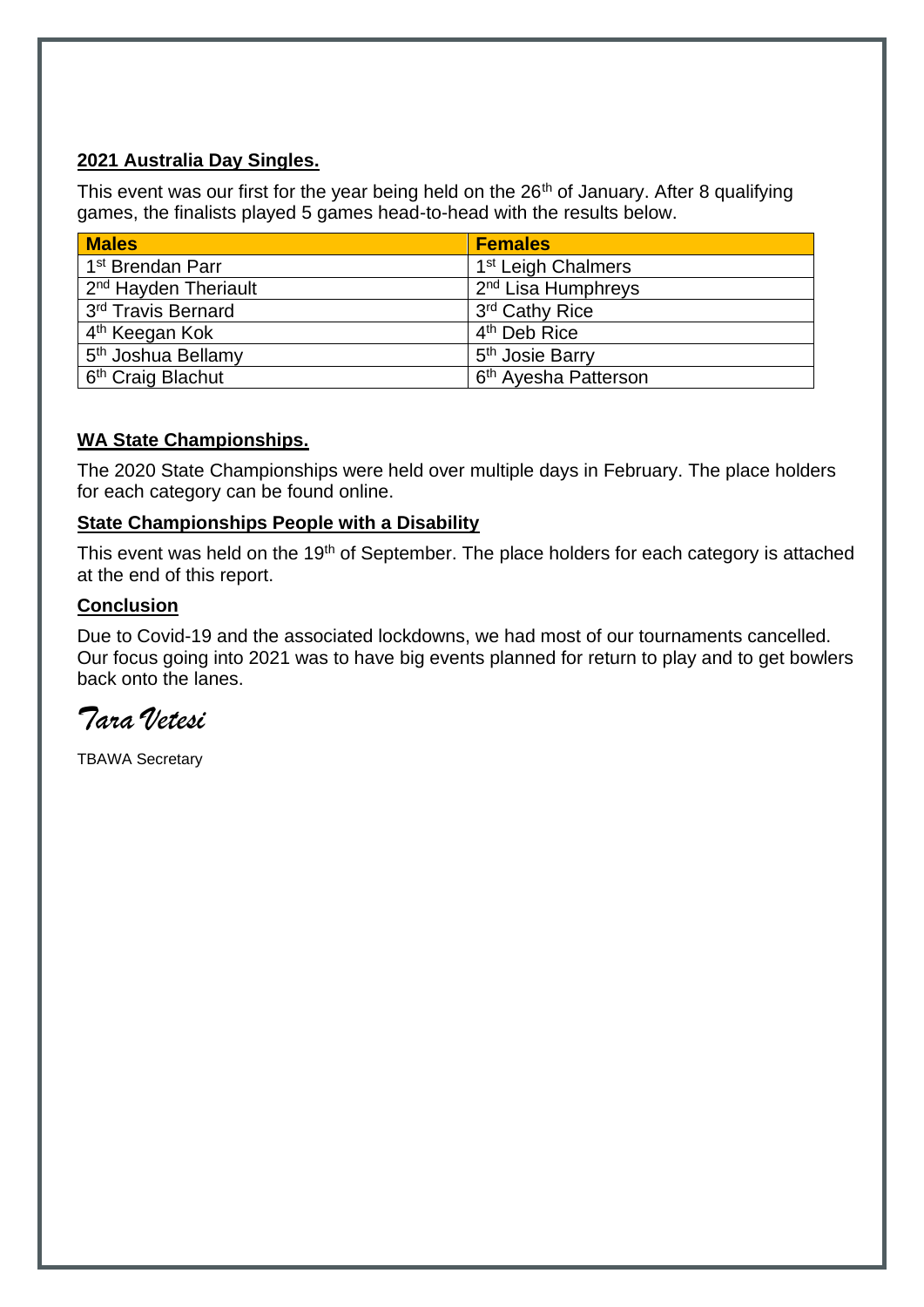#### **2021 Australia Day Singles.**

This event was our first for the year being held on the 26<sup>th</sup> of January. After 8 qualifying games, the finalists played 5 games head-to-head with the results below.

| <b>Males</b>                     | <b>Females</b>                   |
|----------------------------------|----------------------------------|
| 1 <sup>st</sup> Brendan Parr     | 1 <sup>st</sup> Leigh Chalmers   |
| 2 <sup>nd</sup> Hayden Theriault | 2 <sup>nd</sup> Lisa Humphreys   |
| 3 <sup>rd</sup> Travis Bernard   | 3 <sup>rd</sup> Cathy Rice       |
| 4 <sup>th</sup> Keegan Kok       | 4 <sup>th</sup> Deb Rice         |
| 5 <sup>th</sup> Joshua Bellamy   | 5 <sup>th</sup> Josie Barry      |
| 6 <sup>th</sup> Craig Blachut    | 6 <sup>th</sup> Ayesha Patterson |

#### **WA State Championships.**

The 2020 State Championships were held over multiple days in February. The place holders for each category can be found online.

#### **State Championships People with a Disability**

This event was held on the 19<sup>th</sup> of September. The place holders for each category is attached at the end of this report.

#### **Conclusion**

Due to Covid-19 and the associated lockdowns, we had most of our tournaments cancelled. Our focus going into 2021 was to have big events planned for return to play and to get bowlers back onto the lanes.

*Tara Vetesi*

TBAWA Secretary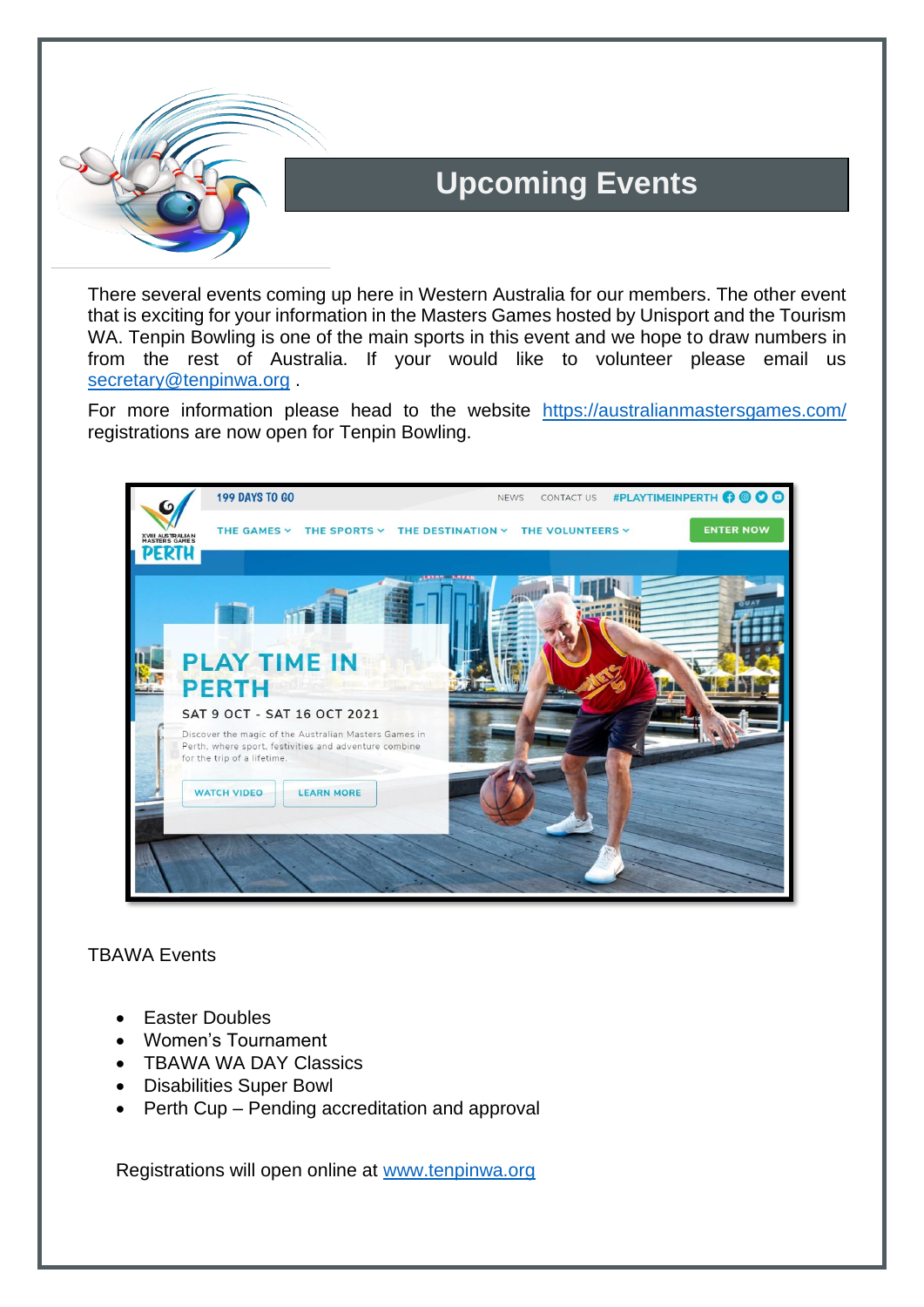

## **Upcoming Events**

There several events coming up here in Western Australia for our members. The other event that is exciting for your information in the Masters Games hosted by Unisport and the Tourism WA. Tenpin Bowling is one of the main sports in this event and we hope to draw numbers in from the rest of Australia. If your would like to volunteer please email us [secretary@tenpinwa.org](mailto:secretary@tenpinwa.org).

For more information please head to the website <https://australianmastersgames.com/> registrations are now open for Tenpin Bowling.



#### TBAWA Events

- Easter Doubles
- Women's Tournament
- TBAWA WA DAY Classics
- Disabilities Super Bowl
- Perth Cup Pending accreditation and approval

Registrations will open online at [www.tenpinwa.org](http://www.tenpinwa.org/)